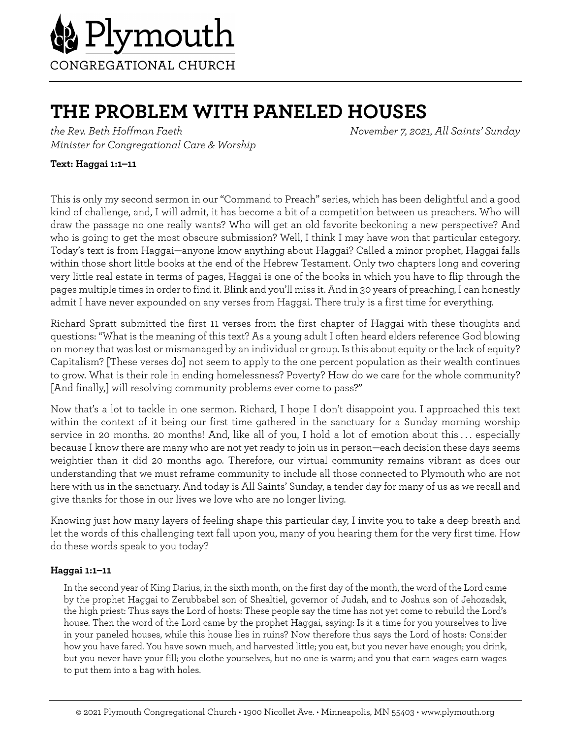

# **THE PROBLEM WITH PANELED HOUSES**

*the Rev. Beth Hoffman Faeth November 7, 2021, All Saints' Sunday Minister for Congregational Care & Worship*

## **Text: Haggai 1:1–11**

This is only my second sermon in our "Command to Preach" series, which has been delightful and a good kind of challenge, and, I will admit, it has become a bit of a competition between us preachers. Who will draw the passage no one really wants? Who will get an old favorite beckoning a new perspective? And who is going to get the most obscure submission? Well, I think I may have won that particular category. Today's text is from Haggai—anyone know anything about Haggai? Called a minor prophet, Haggai falls within those short little books at the end of the Hebrew Testament. Only two chapters long and covering very little real estate in terms of pages, Haggai is one of the books in which you have to flip through the pages multiple times in order to find it. Blink and you'll miss it. And in 30 years of preaching, I can honestly admit I have never expounded on any verses from Haggai. There truly is a first time for everything.

Richard Spratt submitted the first 11 verses from the first chapter of Haggai with these thoughts and questions: "What is the meaning of this text? As a young adult I often heard elders reference God blowing on money that was lost or mismanaged by an individual or group. Is this about equity or the lack of equity? Capitalism? [These verses do] not seem to apply to the one percent population as their wealth continues to grow. What is their role in ending homelessness? Poverty? How do we care for the whole community? [And finally,] will resolving community problems ever come to pass?"

Now that's a lot to tackle in one sermon. Richard, I hope I don't disappoint you. I approached this text within the context of it being our first time gathered in the sanctuary for a Sunday morning worship service in 20 months. 20 months! And, like all of you, I hold a lot of emotion about this . . . especially because I know there are many who are not yet ready to join us in person—each decision these days seems weightier than it did 20 months ago. Therefore, our virtual community remains vibrant as does our understanding that we must reframe community to include all those connected to Plymouth who are not here with us in the sanctuary. And today is All Saints' Sunday, a tender day for many of us as we recall and give thanks for those in our lives we love who are no longer living.

Knowing just how many layers of feeling shape this particular day, I invite you to take a deep breath and let the words of this challenging text fall upon you, many of you hearing them for the very first time. How do these words speak to you today?

### **Haggai 1:1–11**

In the second year of King Darius, in the sixth month, on the first day of the month, the word of the Lord came by the prophet Haggai to Zerubbabel son of Shealtiel, governor of Judah, and to Joshua son of Jehozadak, the high priest: Thus says the Lord of hosts: These people say the time has not yet come to rebuild the Lord's house. Then the word of the Lord came by the prophet Haggai, saying: Is it a time for you yourselves to live in your paneled houses, while this house lies in ruins? Now therefore thus says the Lord of hosts: Consider how you have fared. You have sown much, and harvested little; you eat, but you never have enough; you drink, but you never have your fill; you clothe yourselves, but no one is warm; and you that earn wages earn wages to put them into a bag with holes.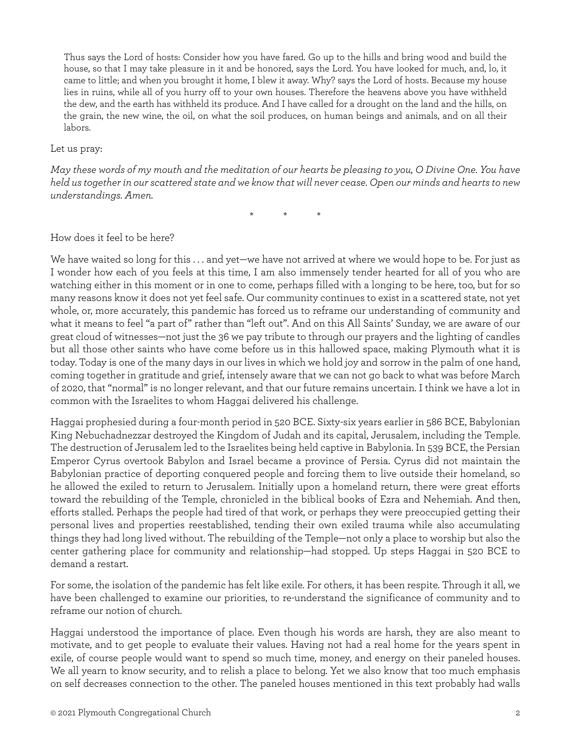Thus says the Lord of hosts: Consider how you have fared. Go up to the hills and bring wood and build the house, so that I may take pleasure in it and be honored, says the Lord. You have looked for much, and, lo, it came to little; and when you brought it home, I blew it away. Why? says the Lord of hosts. Because my house lies in ruins, while all of you hurry off to your own houses. Therefore the heavens above you have withheld the dew, and the earth has withheld its produce. And I have called for a drought on the land and the hills, on the grain, the new wine, the oil, on what the soil produces, on human beings and animals, and on all their labors.

#### Let us pray:

*May these words of my mouth and the meditation of our hearts be pleasing to you, O Divine One. You have held us together in our scattered state and we know that will never cease. Open our minds and hearts to new understandings. Amen.*

\* \* \*

### How does it feel to be here?

We have waited so long for this . . . and yet—we have not arrived at where we would hope to be. For just as I wonder how each of you feels at this time, I am also immensely tender hearted for all of you who are watching either in this moment or in one to come, perhaps filled with a longing to be here, too, but for so many reasons know it does not yet feel safe. Our community continues to exist in a scattered state, not yet whole, or, more accurately, this pandemic has forced us to reframe our understanding of community and what it means to feel "a part of" rather than "left out". And on this All Saints' Sunday, we are aware of our great cloud of witnesses—not just the 36 we pay tribute to through our prayers and the lighting of candles but all those other saints who have come before us in this hallowed space, making Plymouth what it is today. Today is one of the many days in our lives in which we hold joy and sorrow in the palm of one hand, coming together in gratitude and grief, intensely aware that we can not go back to what was before March of 2020, that "normal" is no longer relevant, and that our future remains uncertain. I think we have a lot in common with the Israelites to whom Haggai delivered his challenge.

Haggai prophesied during a four-month period in 520 BCE. Sixty-six years earlier in 586 BCE, Babylonian King Nebuchadnezzar destroyed the Kingdom of Judah and its capital, Jerusalem, including the Temple. The destruction of Jerusalem led to the Israelites being held captive in Babylonia. In 539 BCE, the Persian Emperor Cyrus overtook Babylon and Israel became a province of Persia. Cyrus did not maintain the Babylonian practice of deporting conquered people and forcing them to live outside their homeland, so he allowed the exiled to return to Jerusalem. Initially upon a homeland return, there were great efforts toward the rebuilding of the Temple, chronicled in the biblical books of Ezra and Nehemiah. And then, efforts stalled. Perhaps the people had tired of that work, or perhaps they were preoccupied getting their personal lives and properties reestablished, tending their own exiled trauma while also accumulating things they had long lived without. The rebuilding of the Temple—not only a place to worship but also the center gathering place for community and relationship—had stopped. Up steps Haggai in 520 BCE to demand a restart.

For some, the isolation of the pandemic has felt like exile. For others, it has been respite. Through it all, we have been challenged to examine our priorities, to re-understand the significance of community and to reframe our notion of church.

Haggai understood the importance of place. Even though his words are harsh, they are also meant to motivate, and to get people to evaluate their values. Having not had a real home for the years spent in exile, of course people would want to spend so much time, money, and energy on their paneled houses. We all yearn to know security, and to relish a place to belong. Yet we also know that too much emphasis on self decreases connection to the other. The paneled houses mentioned in this text probably had walls